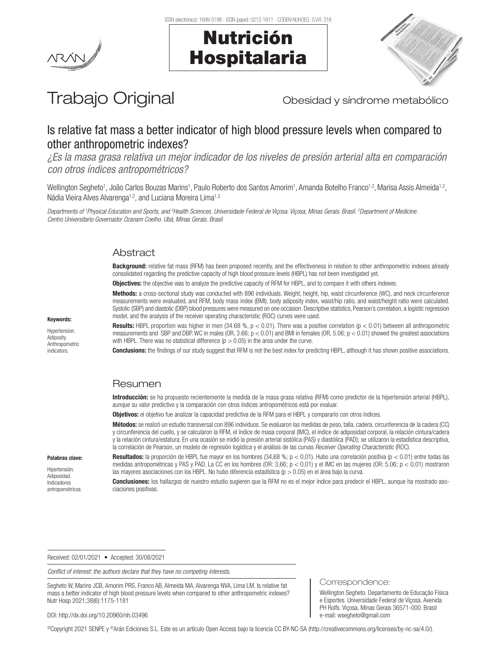





# Trabajo Original **Trabajo Original** Obesidad y síndrome metabólico

# Is relative fat mass a better indicator of high blood pressure levels when compared to other anthropometric indexes?

*¿Es la masa grasa relativa un mejor indicador de los niveles de presión arterial alta en comparación con otros índices antropométricos?*

Wellington Segheto<sup>1</sup>, João Carlos Bouzas Marins<sup>1</sup>, Paulo Roberto dos Santos Amorim<sup>1</sup>, Amanda Botelho Franco<sup>1,2</sup>, Marisa Assis Almeida<sup>1,2</sup>, Nádia Vieira Alves Alvarenga<sup>1,2</sup>, and Luciana Moreira Lima<sup>1,3</sup>

*Departments of 1 Physical Education and Sports, and 3 Health Sciences. Universidade Federal de Viçosa. Viçosa, Minas Gerais. Brasil. 2 Department of Medicine. Centro Universitario Governador Ozanam Coelho. Ubá, Minas Gerais. Brasil*

## **Abstract**

Background: relative fat mass (RFM) has been proposed recently, and the effectiveness in relation to other anthropometric indexes already consolidated regarding the predictive capacity of high blood pressure levels (HBPL) has not been investigated yet.

**Objectives:** the objective was to analyze the predictive capacity of RFM for HBPL, and to compare it with others indexes.

Methods: a cross-sectional study was conducted with 896 individuals. Weight, height, hip, waist circunference (WC), and neck circunference measurements were evaluated, and RFM, body mass index (BMI), body adiposity index, waist/hip ratio, and waist/height ratio were calculated. Systolic (SBP) and diastolic (DBP) blood pressures were measured on one occasion. Descriptive statistics, Pearson's correlation, a logistic regression model, and the analysis of the receiver operating characteristic (ROC) curves were used.

**Results:** HBPL proportion was higher in men (34.68 %,  $p < 0.01$ ). There was a positive correlation ( $p < 0.01$ ) between all anthropometric measurements and SBP and DBP. WC in males (OR, 3.66;  $p < 0.01$ ) and BMI in females (OR, 5.06;  $p < 0.01$ ) showed the greatest associations with HBPL. There was no statistical difference  $(p > 0.05)$  in the area under the curve.

**Conclusions:** the findings of our study suggest that RFM is not the best index for predicting HBPL, although it has shown positive associations.

# **Resumen**

Introducción: se ha propuesto recientemente la medida de la masa grasa relativa (RFM) como predictor de la hipertensión arterial (HBPL), aunque su valor predictivo y la comparación con otros índices antropométricos está por evaluar.

Objetivos: el objetivo fue analizar la capacidad predictiva de la RFM para el HBPL y compararlo con otros índices.

Métodos: se realizó un estudio transversal con 896 individuos. Se evaluaron las medidas de peso, talla, cadera, circunferencia de la cadera (CC) y circunferencia del cuello, y se calcularon la RFM, el índice de masa corporal (IMC), el índice de adiposidad corporal, la relación cintura/cadera y la relación cintura/estatura. En una ocasión se midió la presión arterial sistólica (PAS) y diastólica (PAD); se utilizaron la estadística descriptiva, la correlación de Pearson, un modelo de regresión logística y el análisis de las curvas *Receiver Operating Characteristic* (ROC).

Palabras clave:

Keywords: Hypertension. Adiposity. Anthropometric indicators.

Hipertensión. Adiposidad. Indicadores antropométricos. Resultados: la proporción de HBPL fue mayor en los hombres (34,68 %;  $p < 0.01$ ). Hubo una correlación positiva ( $p < 0.01$ ) entre todas las medidas antropométricas y PAS y PAD. La CC en los hombres (OR: 3,66; p < 0,01) y el IMC en las mujeres (OR: 5,06; p < 0,01) mostraron las mayores asociaciones con los HBPL. No hubo diferencia estadística ( $p > 0.05$ ) en el área bajo la curva.

Conclusiones: los hallazgos de nuestro estudio sugieren que la RFM no es el mejor índice para predecir el HBPL, aunque ha mostrado asociaciones positivas.

Received: 02/01/2021 • Accepted: 30/08/2021

*Conflict of interest: the authors declare that they have no competing interests.*

Segheto W, Marins JCB, Amorim PRS, Franco AB, Almeida MA, Alvarenga NVA, Lima LM. Is relative fat mass a better indicator of high blood pressure levels when compared to other anthropometric indexes? Nutr Hosp 2021;38(6):1175-1181

#### Correspondence:

Wellington Segheto. Departamento de Educação Física e Esportes. Universidade Federal de Viçosa. Avenida PH Rolfs. Viçosa, Minas Gerais 36571-000. Brasil e-mail: wsegheto@gmail.com

DOI: http://dx.doi.org/10.20960/nh.03496

©Copyright 2021 SENPE y ©Arán Ediciones S.L. Este es un artículo Open Access bajo la licencia CC BY-NC-SA (http://creativecommons.org/licenses/by-nc-sa/4.0/).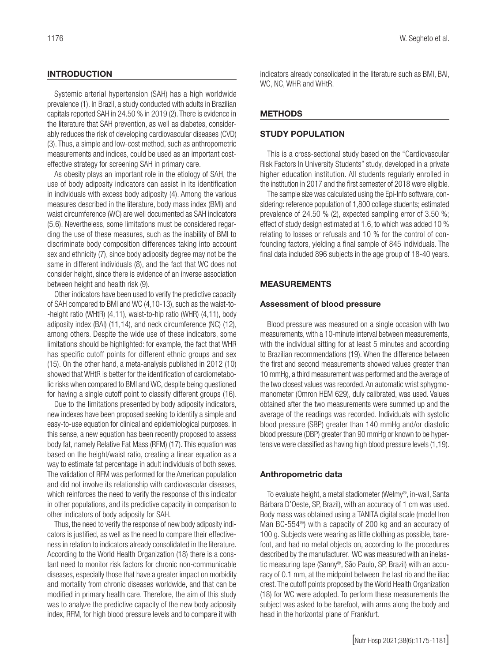#### **INTRODUCTION**

Systemic arterial hypertension (SAH) has a high worldwide prevalence (1). In Brazil, a study conducted with adults in Brazilian capitals reported SAH in 24.50 % in 2019 (2). There is evidence in the literature that SAH prevention, as well as diabetes, considerably reduces the risk of developing cardiovascular diseases (CVD) (3). Thus, a simple and low-cost method, such as anthropometric measurements and indices, could be used as an important costeffective strategy for screening SAH in primary care.

As obesity plays an important role in the etiology of SAH, the use of body adiposity indicators can assist in its identification in individuals with excess body adiposity (4). Among the various measures described in the literature, body mass index (BMI) and waist circumference (WC) are well documented as SAH indicators (5,6). Nevertheless, some limitations must be considered regarding the use of these measures, such as the inability of BMI to discriminate body composition differences taking into account sex and ethnicity (7), since body adiposity degree may not be the same in different individuals (8), and the fact that WC does not consider height, since there is evidence of an inverse association between height and health risk (9).

Other indicators have been used to verify the predictive capacity of SAH compared to BMI and WC (4,10-13), such as the waist-to- -height ratio (WHtR) (4,11), waist-to-hip ratio (WHR) (4,11), body adiposity index (BAI) (11,14), and neck circumference (NC) (12), among others. Despite the wide use of these indicators, some limitations should be highlighted: for example, the fact that WHR has specific cutoff points for different ethnic groups and sex (15). On the other hand, a meta-analysis published in 2012 (10) showed that WHtR is better for the identification of cardiometabolic risks when compared to BMI and WC, despite being questioned for having a single cutoff point to classify different groups (16).

Due to the limitations presented by body adiposity indicators, new indexes have been proposed seeking to identify a simple and easy-to-use equation for clinical and epidemiological purposes. In this sense, a new equation has been recently proposed to assess body fat, namely Relative Fat Mass (RFM) (17). This equation was based on the height/waist ratio, creating a linear equation as a way to estimate fat percentage in adult individuals of both sexes. The validation of RFM was performed for the American population and did not involve its relationship with cardiovascular diseases, which reinforces the need to verify the response of this indicator in other populations, and its predictive capacity in comparison to other indicators of body adiposity for SAH.

Thus, the need to verify the response of new body adiposity indicators is justified, as well as the need to compare their effectiveness in relation to indicators already consolidated in the literature. According to the World Health Organization (18) there is a constant need to monitor risk factors for chronic non-communicable diseases, especially those that have a greater impact on morbidity and mortality from chronic diseases worldwide, and that can be modified in primary health care. Therefore, the aim of this study was to analyze the predictive capacity of the new body adiposity index, RFM, for high blood pressure levels and to compare it with

indicators already consolidated in the literature such as BMI, BAI, WC, NC, WHR and WHtR.

# METHODS

#### STUDY POPULATION

This is a cross-sectional study based on the "Cardiovascular Risk Factors In University Students" study, developed in a private higher education institution. All students regularly enrolled in the institution in 2017 and the first semester of 2018 were eligible.

The sample size was calculated using the Epi-Info software, considering: reference population of 1,800 college students; estimated prevalence of 24.50 % (2), expected sampling error of 3.50 %; effect of study design estimated at 1.6, to which was added 10 % relating to losses or refusals and 10 % for the control of confounding factors, yielding a final sample of 845 individuals. The final data included 896 subjects in the age group of 18-40 years.

#### MEASUREMENTS

#### Assessment of blood pressure

Blood pressure was measured on a single occasion with two measurements, with a 10-minute interval between measurements, with the individual sitting for at least 5 minutes and according to Brazilian recommendations (19). When the difference between the first and second measurements showed values greater than 10 mmHg, a third measurement was performed and the average of the two closest values was recorded. An automatic wrist sphygmomanometer (Omron HEM 629), duly calibrated, was used. Values obtained after the two measurements were summed up and the average of the readings was recorded. Individuals with systolic blood pressure (SBP) greater than 140 mmHg and/or diastolic blood pressure (DBP) greater than 90 mmHg or known to be hypertensive were classified as having high blood pressure levels (1,19).

#### Anthropometric data

To evaluate height, a metal stadiometer (Welmy®, in-wall, Santa Bárbara D'Oeste, SP, Brazil), with an accuracy of 1 cm was used. Body mass was obtained using a TANITA digital scale (model Iron Man BC-554®) with a capacity of 200 kg and an accuracy of 100 g. Subjects were wearing as little clothing as possible, barefoot, and had no metal objects on, according to the procedures described by the manufacturer. WC was measured with an inelastic measuring tape (Sanny®, São Paulo, SP, Brazil) with an accuracy of 0.1 mm, at the midpoint between the last rib and the iliac crest. The cutoff points proposed by the World Health Organization (18) for WC were adopted. To perform these measurements the subject was asked to be barefoot, with arms along the body and head in the horizontal plane of Frankfurt.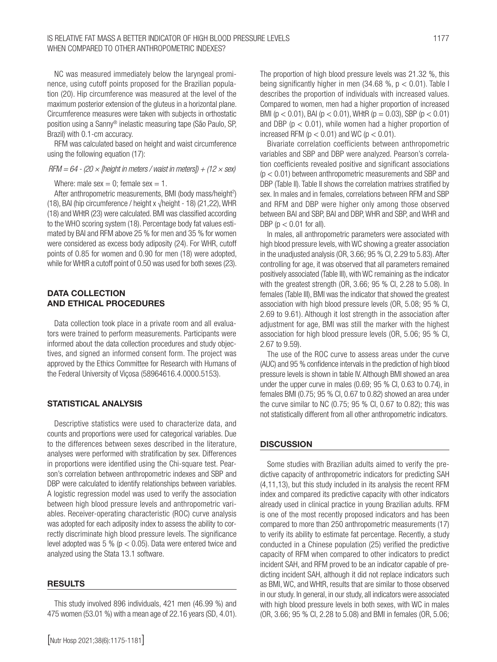NC was measured immediately below the laryngeal prominence, using cutoff points proposed for the Brazilian population (20). Hip circumference was measured at the level of the maximum posterior extension of the gluteus in a horizontal plane. Circumference measures were taken with subjects in orthostatic position using a Sanny® inelastic measuring tape (São Paulo, SP, Brazil) with 0.1-cm accuracy.

RFM was calculated based on height and waist circumference using the following equation (17):

#### *RFM = 64 - (20 × [height in meters / waist in meters]) + (12 × sex)*

Where: male  $sex = 0$ ; female  $sex = 1$ .

After anthropometric measurements, BMI (body mass/height<sup>2</sup>) (18), BAI (hip circumference / height x  $\sqrt{\frac{h}{g}}$  + 18) (21, 22), WHR (18) and WHtR (23) were calculated. BMI was classified according to the WHO scoring system (18). Percentage body fat values estimated by BAI and RFM above 25 % for men and 35 % for women were considered as excess body adiposity (24). For WHR, cutoff points of 0.85 for women and 0.90 for men (18) were adopted, while for WHtR a cutoff point of 0.50 was used for both sexes (23).

#### DATA COLLECTION AND ETHICAL PROCEDURES

Data collection took place in a private room and all evaluators were trained to perform measurements. Participants were informed about the data collection procedures and study objectives, and signed an informed consent form. The project was approved by the Ethics Committee for Research with Humans of the Federal University of Viçosa (58964616.4.0000.5153).

#### STATISTICAL ANALYSIS

Descriptive statistics were used to characterize data, and counts and proportions were used for categorical variables. Due to the differences between sexes described in the literature, analyses were performed with stratification by sex. Differences in proportions were identified using the Chi-square test. Pearson's correlation between anthropometric indexes and SBP and DBP were calculated to identify relationships between variables. A logistic regression model was used to verify the association between high blood pressure levels and anthropometric variables. Receiver-operating characteristic (ROC) curve analysis was adopted for each adiposity index to assess the ability to correctly discriminate high blood pressure levels. The significance level adopted was 5 % ( $p < 0.05$ ). Data were entered twice and analyzed using the Stata 13.1 software.

#### RESULTS

This study involved 896 individuals, 421 men (46.99 %) and 475 women (53.01 %) with a mean age of 22.16 years (SD, 4.01). The proportion of high blood pressure levels was 21.32 %, this being significantly higher in men  $(34.68 \, \% , p < 0.01)$ . Table I describes the proportion of individuals with increased values. Compared to women, men had a higher proportion of increased BMI ( $p < 0.01$ ), BAI ( $p < 0.01$ ), WHtR ( $p = 0.03$ ), SBP ( $p < 0.01$ ) and DBP ( $p < 0.01$ ), while women had a higher proportion of increased RFM ( $p < 0.01$ ) and WC ( $p < 0.01$ ).

Bivariate correlation coefficients between anthropometric variables and SBP and DBP were analyzed. Pearson's correlation coefficients revealed positive and significant associations (p < 0.01) between anthropometric measurements and SBP and DBP (Table II). Table II shows the correlation matrixes stratified by sex. In males and in females, correlations between RFM and SBP and RFM and DBP were higher only among those observed between BAI and SBP, BAI and DBP, WHR and SBP, and WHR and DBP ( $p < 0.01$  for all).

In males, all anthropometric parameters were associated with high blood pressure levels, with WC showing a greater association in the unadjusted analysis (OR, 3.66; 95 % CI, 2.29 to 5.83). After controlling for age, it was observed that all parameters remained positively associated (Table III), with WC remaining as the indicator with the greatest strength (OR, 3.66; 95 % CI, 2.28 to 5.08). In females (Table III), BMI was the indicator that showed the greatest association with high blood pressure levels (OR, 5.08; 95 % CI, 2.69 to 9.61). Although it lost strength in the association after adjustment for age, BMI was still the marker with the highest association for high blood pressure levels (OR, 5.06; 95 % CI, 2.67 to 9.59).

The use of the ROC curve to assess areas under the curve (AUC) and 95 % confidence intervals in the prediction of high blood pressure levels is shown in table IV. Although BMI showed an area under the upper curve in males (0.69; 95 % CI, 0.63 to 0.74), in females BMI (0.75; 95 % CI, 0.67 to 0.82) showed an area under the curve similar to NC (0.75; 95 % CI, 0.67 to 0.82); this was not statistically different from all other anthropometric indicators.

## **DISCUSSION**

Some studies with Brazilian adults aimed to verify the predictive capacity of anthropometric indicators for predicting SAH (4,11,13), but this study included in its analysis the recent RFM index and compared its predictive capacity with other indicators already used in clinical practice in young Brazilian adults. RFM is one of the most recently proposed indicators and has been compared to more than 250 anthropometric measurements (17) to verify its ability to estimate fat percentage. Recently, a study conducted in a Chinese population (25) verified the predictive capacity of RFM when compared to other indicators to predict incident SAH, and RFM proved to be an indicator capable of predicting incident SAH, although it did not replace indicators such as BMI, WC, and WHtR, results that are similar to those observed in our study. In general, in our study, all indicators were associated with high blood pressure levels in both sexes, with WC in males (OR, 3.66; 95 % CI, 2.28 to 5.08) and BMI in females (OR, 5.06;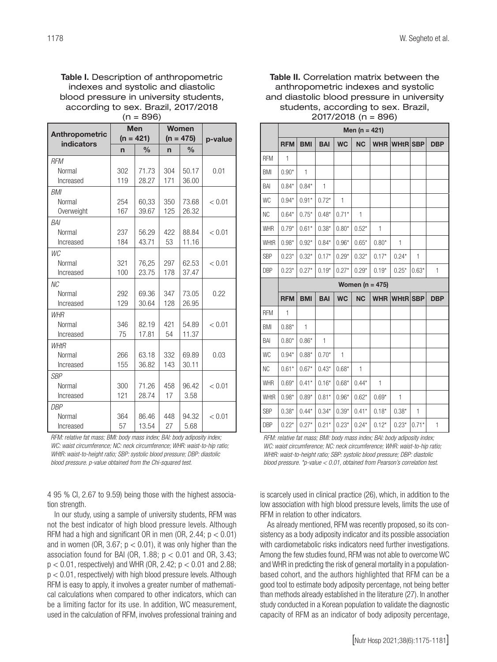Table I. Description of anthropometric indexes and systolic and diastolic blood pressure in university students, according to sex. Brazil, 2017/2018  $(n = 896)$ 

|                              | <b>Men</b>  |               |             | Women         |         |
|------------------------------|-------------|---------------|-------------|---------------|---------|
| Anthropometric<br>indicators | $(n = 421)$ |               | $(n = 475)$ |               | p-value |
|                              | n           | $\frac{0}{0}$ | $\mathbf n$ | $\frac{0}{0}$ |         |
| <b>RFM</b>                   |             |               |             |               |         |
| Normal                       | 302         | 71.73         | 304         | 50.17         | 0.01    |
| Increased                    | 119         | 28.27         | 171         | 36.00         |         |
| BMI                          |             |               |             |               |         |
| Normal                       | 254         | 60,33         | 350         | 73.68         | < 0.01  |
| Overweight                   | 167         | 39.67         | 125         | 26.32         |         |
| <b>BAI</b>                   |             |               |             |               |         |
| Normal                       | 237         | 56.29         | 422         | 88.84         | < 0.01  |
| Increased                    | 184         | 43.71         | 53          | 11.16         |         |
| WC                           |             |               |             |               |         |
| Normal                       | 321         | 76,25         | 297         | 62.53         | < 0.01  |
| Increased                    | 100         | 23.75         | 178         | 37.47         |         |
| NC                           |             |               |             |               |         |
| Normal                       | 292         | 69.36         | 347         | 73.05         | 0.22    |
| Increased                    | 129         | 30.64         | 128         | 26.95         |         |
| <b>WHR</b>                   |             |               |             |               |         |
| Normal                       | 346         | 82.19         | 421         | 54.89         | < 0.01  |
| Increased                    | 75          | 17.81         | 54          | 11.37         |         |
| <b>WHtR</b>                  |             |               |             |               |         |
| Normal                       | 266         | 63.18         | 332         | 69.89         | 0.03    |
| Increased                    | 155         | 36.82         | 143         | 30.11         |         |
| <b>SBP</b>                   |             |               |             |               |         |
| Normal                       | 300         | 71.26         | 458         | 96.42         | < 0.01  |
| Increased                    | 121         | 28.74         | 17          | 3.58          |         |
| <b>DBP</b>                   |             |               |             |               |         |
| Normal                       | 364         | 86.46         | 448         | 94.32         | < 0.01  |
| Increased                    | 57          | 13.54         | 27          | 5.68          |         |

*RFM: relative fat mass; BMI: body mass index; BAI: body adiposity index; WC: waist circumference; NC: neck circumference; WHR: waist-to-hip ratio; WHtR: waist-to-height ratio; SBP: systolic blood pressure; DBP: diastolic blood pressure. p-value obtained from the Chi-squared test.*

4 95 % CI, 2.67 to 9.59) being those with the highest association strength.

In our study, using a sample of university students, RFM was not the best indicator of high blood pressure levels. Although RFM had a high and significant OR in men (OR, 2.44;  $p < 0.01$ ) and in women (OR, 3.67;  $p < 0.01$ ), it was only higher than the association found for BAI (OR, 1.88;  $p < 0.01$  and OR, 3.43;  $p < 0.01$ , respectively) and WHR (OR, 2.42;  $p < 0.01$  and 2.88;  $p < 0.01$ , respectively) with high blood pressure levels. Although RFM is easy to apply, it involves a greater number of mathematical calculations when compared to other indicators, which can be a limiting factor for its use. In addition, WC measurement, used in the calculation of RFM, involves professional training and

Table II. Correlation matrix between the anthropometric indexes and systolic and diastolic blood pressure in university students, according to sex. Brazil, 2017/2018 (n = 896)

|             | Men ( $n = 421$ ) |              |              |              |           |            |                 |         |            |
|-------------|-------------------|--------------|--------------|--------------|-----------|------------|-----------------|---------|------------|
|             | <b>RFM</b>        | <b>BMI</b>   | <b>BAI</b>   | <b>WC</b>    | <b>NC</b> | <b>WHR</b> | <b>WHtR</b> SBP |         | <b>DBP</b> |
| <b>RFM</b>  | $\mathbf{1}$      |              |              |              |           |            |                 |         |            |
| <b>BMI</b>  | $0.90*$           | 1            |              |              |           |            |                 |         |            |
| BAI         | $0.84*$           | $0.84*$      | $\mathbf{1}$ |              |           |            |                 |         |            |
| <b>WC</b>   | $0.94*$           | $0.91*$      | $0.72*$      | 1            |           |            |                 |         |            |
| <b>NC</b>   | $0.64*$           | $0.75*$      | $0.48*$      | $0.71*$      | 1         |            |                 |         |            |
| <b>WHR</b>  | $0.79*$           | $0.61*$      | $0.38*$      | $0.80*$      | $0.52*$   | 1          |                 |         |            |
| WHtR        | $0.98*$           | $0.92*$      | $0.84*$      | $0.96*$      | $0.65*$   | $0.80*$    | 1               |         |            |
| <b>SBP</b>  | $0.23*$           | $0.32*$      | $0.17*$      | $0.29*$      | $0.32*$   | $0.17*$    | $0.24*$         | 1       |            |
| <b>DBP</b>  | $0.23*$           | $0.27*$      | $0.19*$      | $0.27*$      | $0.29*$   | $0.19*$    | $0.25*$         | $0.63*$ | 1          |
|             | Women $(n = 475)$ |              |              |              |           |            |                 |         |            |
|             |                   |              |              |              |           |            |                 |         |            |
|             | <b>RFM</b>        | <b>BMI</b>   | <b>BAI</b>   | <b>WC</b>    | <b>NC</b> | <b>WHR</b> | <b>WHtR</b> SBP |         | <b>DBP</b> |
| <b>RFM</b>  | 1                 |              |              |              |           |            |                 |         |            |
| <b>BMI</b>  | $0.88*$           | $\mathbf{1}$ |              |              |           |            |                 |         |            |
| BAI         | $0.80*$           | $0.86*$      | $\mathbf{1}$ |              |           |            |                 |         |            |
| <b>WC</b>   | $0.94*$           | $0.88*$      | $0.70*$      | $\mathbf{1}$ |           |            |                 |         |            |
| <b>NC</b>   | $0.61*$           | $0.67*$      | $0.43*$      | $0.68*$      | 1         |            |                 |         |            |
| <b>WHR</b>  | $0.69*$           | $0.41*$      | $0.16*$      | $0.68*$      | $0.44*$   | 1          |                 |         |            |
| <b>WHtR</b> | $0.98*$           | $0.89*$      | $0.81*$      | $0.96*$      | $0.62*$   | $0.69*$    | 1               |         |            |
| <b>SBP</b>  | $0.38*$           | $0.44*$      | $0.34*$      | $0.39*$      | $0.41*$   | $0.18*$    | $0.38*$         | 1       |            |

*RFM: relative fat mass; BMI: body mass index; BAI: body adiposity index; WC: waist circumference; NC: neck circumference; WHR: waist-to-hip ratio; WHtR: waist-to-height ratio; SBP: systolic blood pressure; DBP: diastolic blood pressure. \*p-value < 0.01, obtained from Pearson's correlation test.*

is scarcely used in clinical practice (26), which, in addition to the low association with high blood pressure levels, limits the use of RFM in relation to other indicators.

As already mentioned, RFM was recently proposed, so its consistency as a body adiposity indicator and its possible association with cardiometabolic risks indicators need further investigations. Among the few studies found, RFM was not able to overcome WC and WHR in predicting the risk of general mortality in a populationbased cohort, and the authors highlighted that RFM can be a good tool to estimate body adiposity percentage, not being better than methods already established in the literature (27). In another study conducted in a Korean population to validate the diagnostic capacity of RFM as an indicator of body adiposity percentage,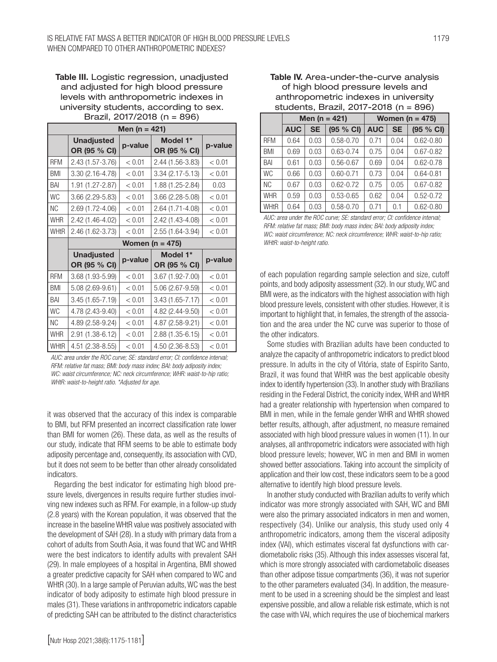Table III. Logistic regression, unadjusted and adjusted for high blood pressure levels with anthropometric indexes in university students, according to sex. Brazil, 2017/2018 (n = 896)

| Men (n = $421$ ) |                                   |         |                          |         |  |  |  |
|------------------|-----------------------------------|---------|--------------------------|---------|--|--|--|
|                  | <b>Unadjusted</b><br>OR (95 % CI) | p-value | Model 1*<br>OR (95 % CI) | p-value |  |  |  |
| <b>RFM</b>       | 2.43 (1.57-3.76)                  | < 0.01  | 2.44 (1.56-3.83)         | < 0.01  |  |  |  |
| <b>BMI</b>       | 3.30 (2.16-4.78)                  | < 0.01  | $3.34(2.17 - 5.13)$      | < 0.01  |  |  |  |
| BAI              | 1.91 (1.27-2.87)                  | < 0.01  | 1.88 (1.25-2.84)         | 0.03    |  |  |  |
| <b>WC</b>        | 3.66 (2.29-5.83)                  | < 0.01  | 3.66 (2.28-5.08)         | < 0.01  |  |  |  |
| NC.              | 2.69 (1.72-4.06)                  | < 0.01  | 2.64 (1.71-4.08)         | < 0.01  |  |  |  |
| <b>WHR</b>       | 2.42 (1.46-4.02)                  | < 0.01  | 2.42 (1.43-4.08)         | < 0.01  |  |  |  |
| <b>WHtR</b>      | 2.46 (1.62-3.73)                  | < 0.01  | 2.55 (1.64-3.94)         | < 0.01  |  |  |  |
|                  | Women ( $n = 475$ )               |         |                          |         |  |  |  |
|                  | <b>Unadjusted</b><br>OR (95 % CI) | p-value | Model 1*<br>OR (95 % CI) | p-value |  |  |  |
| <b>RFM</b>       | 3.68 (1.93-5.99)                  | < 0.01  | 3.67 (1.92-7.00)         | < 0.01  |  |  |  |
| BMI              | 5.08 (2.69-9.61)                  | < 0.01  | 5.06 (2.67-9.59)         | < 0.01  |  |  |  |
| BAI              | 3.45 (1.65-7.19)                  | < 0.01  | $3.43(1.65 - 7.17)$      | < 0.01  |  |  |  |
| <b>WC</b>        | 4.78 (2.43-9.40)                  | < 0.01  | 4.82 (2.44-9.50)         | < 0.01  |  |  |  |
| NC.              | 4.89 (2.58-9.24)                  | < 0.01  | 4.87 (2.58-9.21)         | < 0.01  |  |  |  |
| <b>WHR</b>       | 2.91 (1.38-6.12)                  | < 0.01  | 2.88 (1.35-6.15)         | < 0.01  |  |  |  |
| <b>WHtR</b>      | 4.51 (2.38-8.55)                  | < 0.01  | 4.50 (2.36-8.53)         | < 0.01  |  |  |  |

*AUC: area under the ROC curve; SE: standard error; CI: confidence interval; RFM: relative fat mass; BMI: body mass index; BAI: body adiposity index; WC: waist circumference; NC: neck circumference; WHR: waist-to-hip ratio; WHtR: waist-to-height ratio. \*Adjusted for age.*

it was observed that the accuracy of this index is comparable to BMI, but RFM presented an incorrect classification rate lower than BMI for women (26). These data, as well as the results of our study, indicate that RFM seems to be able to estimate body adiposity percentage and, consequently, its association with CVD, but it does not seem to be better than other already consolidated indicators.

Regarding the best indicator for estimating high blood pressure levels, divergences in results require further studies involving new indexes such as RFM. For example, in a follow-up study (2.8 years) with the Korean population, it was observed that the increase in the baseline WHtR value was positively associated with the development of SAH (28). In a study with primary data from a cohort of adults from South Asia, it was found that WC and WHtR were the best indicators to identify adults with prevalent SAH (29). In male employees of a hospital in Argentina, BMI showed a greater predictive capacity for SAH when compared to WC and WHtR (30). In a large sample of Peruvian adults, WC was the best indicator of body adiposity to estimate high blood pressure in males (31). These variations in anthropometric indicators capable of predicting SAH can be attributed to the distinct characteristics

#### Table IV. Area-under-the-curve analysis of high blood pressure levels and anthropometric indexes in university students, Brazil, 2017-2018 (n = 896)

|             | Men ( $n = 421$ ) |           |               | Women ( $n = 475$ ) |           |               |  |
|-------------|-------------------|-----------|---------------|---------------------|-----------|---------------|--|
|             | <b>AUC</b>        | <b>SE</b> | (95 % CI)     | <b>AUC</b>          | <b>SE</b> | (95 % CI)     |  |
| <b>RFM</b>  | 0.64              | 0.03      | $0.58 - 0.70$ | 0.71                | 0.04      | $0.62 - 0.80$ |  |
| <b>BMI</b>  | 0.69              | 0.03      | $0.63 - 0.74$ | 0.75                | 0.04      | $0.67 - 0.82$ |  |
| BAI         | 0.61              | 0.03      | $0.56 - 0.67$ | 0.69                | 0.04      | $0.62 - 0.78$ |  |
| <b>WC</b>   | 0.66              | 0.03      | $0.60 - 0.71$ | 0.73                | 0.04      | $0.64 - 0.81$ |  |
| <b>NC</b>   | 0.67              | 0.03      | $0.62 - 0.72$ | 0.75                | 0.05      | $0.67 - 0.82$ |  |
| <b>WHR</b>  | 0.59              | 0.03      | $0.53 - 0.65$ | 0.62                | 0.04      | $0.52 - 0.72$ |  |
| <b>WHtR</b> | 0.64              | 0.03      | $0.58 - 0.70$ | 0.71                | 0.1       | $0.62 - 0.80$ |  |

*AUC: area under the ROC curve; SE: standard error; CI: confidence interval; RFM: relative fat mass; BMI: body mass index; BAI: body adiposity index; WC: waist circumference; NC: neck circumference; WHR: waist-to-hip ratio; WHtR: waist-to-height ratio.*

of each population regarding sample selection and size, cutoff points, and body adiposity assessment (32). In our study, WC and BMI were, as the indicators with the highest association with high blood pressure levels, consistent with other studies. However, it is important to highlight that, in females, the strength of the association and the area under the NC curve was superior to those of the other indicators.

Some studies with Brazilian adults have been conducted to analyze the capacity of anthropometric indicators to predict blood pressure. In adults in the city of Vitória, state of Espírito Santo, Brazil, it was found that WHtR was the best applicable obesity index to identify hypertension (33). In another study with Brazilians residing in the Federal District, the conicity index, WHR and WHtR had a greater relationship with hypertension when compared to BMI in men, while in the female gender WHR and WHtR showed better results, although, after adjustment, no measure remained associated with high blood pressure values in women (11). In our analyses, all anthropometric indicators were associated with high blood pressure levels; however, WC in men and BMI in women showed better associations. Taking into account the simplicity of application and their low cost, these indicators seem to be a good alternative to identify high blood pressure levels.

In another study conducted with Brazilian adults to verify which indicator was more strongly associated with SAH, WC and BMI were also the primary associated indicators in men and women, respectively (34). Unlike our analysis, this study used only 4 anthropometric indicators, among them the visceral adiposity index (VAI), which estimates visceral fat dysfunctions with cardiometabolic risks (35). Although this index assesses visceral fat, which is more strongly associated with cardiometabolic diseases than other adipose tissue compartments (36), it was not superior to the other parameters evaluated (34). In addition, the measurement to be used in a screening should be the simplest and least expensive possible, and allow a reliable risk estimate, which is not the case with VAI, which requires the use of biochemical markers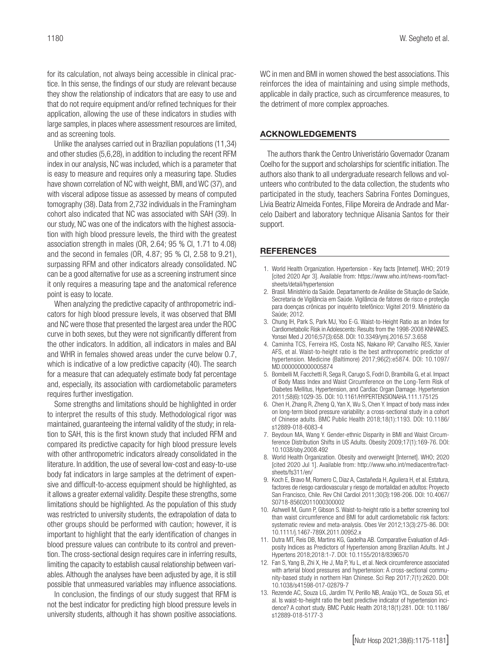for its calculation, not always being accessible in clinical practice. In this sense, the findings of our study are relevant because they show the relationship of indicators that are easy to use and that do not require equipment and/or refined techniques for their application, allowing the use of these indicators in studies with large samples, in places where assessment resources are limited, and as screening tools.

Unlike the analyses carried out in Brazilian populations (11,34) and other studies (5,6,28), in addition to including the recent RFM index in our analysis, NC was included, which is a parameter that is easy to measure and requires only a measuring tape. Studies have shown correlation of NC with weight, BMI, and WC (37), and with visceral adipose tissue as assessed by means of computed tomography (38). Data from 2,732 individuals in the Framingham cohort also indicated that NC was associated with SAH (39). In our study, NC was one of the indicators with the highest association with high blood pressure levels, the third with the greatest association strength in males (OR, 2.64; 95 % CI, 1.71 to 4.08) and the second in females (OR, 4.87; 95 % CI, 2.58 to 9.21), surpassing RFM and other indicators already consolidated. NC can be a good alternative for use as a screening instrument since it only requires a measuring tape and the anatomical reference point is easy to locate.

When analyzing the predictive capacity of anthropometric indicators for high blood pressure levels, it was observed that BMI and NC were those that presented the largest area under the ROC curve in both sexes, but they were not significantly different from the other indicators. In addition, all indicators in males and BAI and WHR in females showed areas under the curve below 0.7, which is indicative of a low predictive capacity (40). The search for a measure that can adequately estimate body fat percentage and, especially, its association with cardiometabolic parameters requires further investigation.

Some strengths and limitations should be highlighted in order to interpret the results of this study. Methodological rigor was maintained, guaranteeing the internal validity of the study; in relation to SAH, this is the first known study that included RFM and compared its predictive capacity for high blood pressure levels with other anthropometric indicators already consolidated in the literature. In addition, the use of several low-cost and easy-to-use body fat indicators in large samples at the detriment of expensive and difficult-to-access equipment should be highlighted, as it allows a greater external validity. Despite these strengths, some limitations should be highlighted. As the population of this study was restricted to university students, the extrapolation of data to other groups should be performed with caution; however, it is important to highlight that the early identification of changes in blood pressure values can contribute to its control and prevention. The cross-sectional design requires care in inferring results, limiting the capacity to establish causal relationship between variables. Although the analyses have been adjusted by age, it is still possible that unmeasured variables may influence associations.

In conclusion, the findings of our study suggest that RFM is not the best indicator for predicting high blood pressure levels in university students, although it has shown positive associations. WC in men and BMI in women showed the best associations. This reinforces the idea of maintaining and using simple methods, applicable in daily practice, such as circumference measures, to the detriment of more complex approaches.

#### ACKNOWLEDGEMENTS

The authors thank the Centro Univeristário Governador Ozanam Coelho for the support and scholarships for scientific initiation. The authors also thank to all undergraduate research fellows and volunteers who contributed to the data collection, the students who participated in the study, teachers Sabrina Fontes Domingues, Lívia Beatriz Almeida Fontes, Filipe Moreira de Andrade and Marcelo Daibert and laboratory technique Alisania Santos for their support.

#### **REFERENCES**

- 1. World Health Organization. Hypertension Key facts [Internet]. WHO; 2019 [cited 2020 Apr 3]. Available from: https://www.who.int/news-room/factsheets/detail/hypertension
- 2. Brasil. Ministério da Saúde. Departamento de Análise de Situação de Saúde, Secretaria de Vigilância em Saúde. Vigilância de fatores de risco e proteção para doenças crônicas por inquérito telefônico: Vigitel 2019. Ministério da Saúde: 2012.
- 3. Chung IH, Park S, Park MJ, Yoo E-G. Waist-to-Height Ratio as an Index for Cardiometabolic Risk in Adolescents: Results from the 1998-2008 KNHANES. Yonsei Med J 2016;57(3):658. DOI: 10.3349/ymj.2016.57.3.658
- 4. Caminha TCS, Ferreira HS, Costa NS, Nakano RP, Carvalho RES, Xavier AFS, et al. Waist-to-height ratio is the best anthropometric predictor of hypertension. Medicine (Baltimore) 2017;96(2):e5874. DOI: 10.1097/ MD.0000000000005874
- 5. Bombelli M, Facchetti R, Sega R, Carugo S, Fodri D, Brambilla G, et al. Impact of Body Mass Index and Waist Circumference on the Long-Term Risk of Diabetes Mellitus, Hypertension, and Cardiac Organ Damage. Hypertension 2011;58(6):1029-35. DOI: 10.1161/HYPERTENSIONAHA.111.175125
- 6. Chen H, Zhang R, Zheng Q, Yan X, Wu S, Chen Y. Impact of body mass index on long-term blood pressure variability: a cross-sectional study in a cohort of Chinese adults. BMC Public Health 2018;18(1):1193. DOI: 10.1186/ s12889-018-6083-4
- 7. Beydoun MA, Wang Y. Gender-ethnic Disparity in BMI and Waist Circumference Distribution Shifts in US Adults. Obesity 2009;17(1):169-76. DOI: 10.1038/oby.2008.492
- 8. World Health Organization. Obesity and overweight [Internet]. WHO; 2020 [cited 2020 Jul 1]. Available from: http://www.who.int/mediacentre/factsheets/fs311/en/
- 9. Koch E, Bravo M, Romero C, Diaz A, Castañeda H, Aguilera H, et al. Estatura, factores de riesgo cardiovascular y riesgo de mortalidad en adultos: Proyecto San Francisco, Chile. Rev Chil Cardiol 2011;30(3):198-206. DOI: 10.4067/ S0718-85602011000300002
- 10. Ashwell M, Gunn P, Gibson S. Waist-to-height ratio is a better screening tool than waist circumference and BMI for adult cardiometabolic risk factors: systematic review and meta-analysis. Obes Ver 2012;13(3):275-86. DOI: 10.1111/j.1467-789X.2011.00952.x
- 11. Dutra MT, Reis DB, Martins KG, Gadelha AB. Comparative Evaluation of Adiposity Indices as Predictors of Hypertension among Brazilian Adults. Int J Hypertens 2018;2018:1-7. DOI: 10.1155/2018/8396570
- 12. Fan S, Yang B, Zhi X, He J, Ma P, Yu L, et al. Neck circumference associated with arterial blood pressures and hypertension: A cross-sectional community-based study in northern Han Chinese. Sci Rep 2017;7(1):2620. DOI: 10.1038/s41598-017-02879-7
- 13. Rezende AC, Souza LG, Jardim TV, Perillo NB, Araújo YCL, de Souza SG, et al. Is waist-to-height ratio the best predictive indicator of hypertension incidence? A cohort study. BMC Public Health 2018;18(1):281. DOI: 10.1186/ s12889-018-5177-3